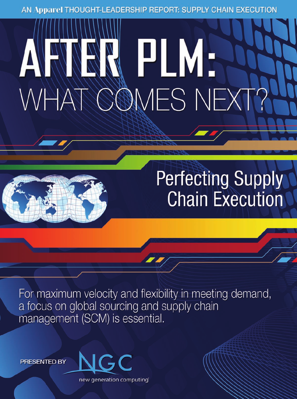AN Apparel THOUGHT-LEADERSHIP REPORT: SUPPLY CHAIN EXECUTION

## PLM: SONES NEX WE

### **Perfecting Supply Chain Execution**

For maximum velocity and flexibility in meeting demand, a focus on global sourcing and supply chain management (SCM) is essential.

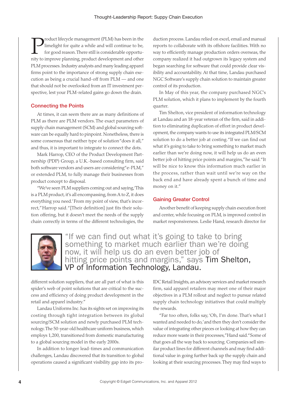**Product lifecycle management (PLM) has been in the**<br>limelight for quite a while and will continue to be,<br>for good reason. There still is considerable opportu-<br>nity to improve planning, product development and other limelight for quite a while and will continue to be, for good reason.There still is considerable opportunity to improve planning, product development and other PLM processes. Industry analysts and many leading apparel firms point to the importance of strong supply chain execution as being a crucial hand-off from PLM — and one that should not be overlooked from an IT investment perspective, lest your PLM-related gains go down the drain.

#### **Connecting the Points**

At times, it can seem there are as many definitions of PLM as there are PLM vendors. The exact parameters of supply chain management (SCM) and global sourcing software can be equally hard to pinpoint. Nonetheless, there is some consensus that neither type of solution "does it all," and thus, it is important to integrate to connect the dots.

Mark Harrop, CEO of the Product Development Partnership (PDP) Group, a U.K.-based consulting firm, said both software vendors and users are considering"e-PLM," or extended PLM, to fully manage their businesses from product concept to disposal.

"We've seen PLM suppliers coming out and saying,'This is a PLM product, it's all encompassing, from A to Z, it does everything you need.'From my point of view, that's incorrect,"Harrop said."[Their definition] just fits their solution offering, but it doesn't meet the needs of the supply chain correctly in terms of the different technologies, the

duction process. Landau relied on excel, email and manual reports to collaborate with its offshore facilities. With no way to efficiently manage production orders overseas, the company realized it had outgrown its legacy system and began searching for software that could provide clear visibility and accountability. At that time, Landau purchased NGC Software's supply chain solution to maintain greater control of its production.

In May of this year, the company purchased NGC's PLM solution, which it plans to implement by the fourth quarter.

Tim Shelton, vice president of information technology at Landau and an 18-year veteran of the firm, said in addition to eliminating duplication of effort in product development, the company wants to use its integrated PLM/SCM solution to do a better job at costing."If we can find out what it's going to take to bring something to market much earlier than we're doing now, it will help us do an even better job of hitting price points and margins,"he said."It will be nice to know this information much earlier in the process, rather than wait until we're way on the back end and have already spent a bunch of time and money on it."

#### **Gaining Greater Control**

Another benefit of keeping supply chain execution front and center, while focusing on PLM, is improved control in market responsiveness. Leslie Hand, research director for



"If we can find out what it's going to take to bring something to market much earlier than we're doing now, it will help us do an even better job of hitting price points and margins," says Tim Shelton, VP of Information Technology, Landau.

different solution suppliers, that are all part of what is this spider's web of point solutions that are critical to the success and efficiency of doing product development in the retail and apparel industry."

Landau Uniforms Inc. has its sights set on improving its costing through tight integration between its global sourcing/SCM solution and newly purchased PLM technology.The 50-year-old healthcare uniform business, which employs 1,200, transitioned from domestic manufacturing to a global sourcing model in the early 2000s.

In addition to longer lead-times and communication challenges, Landau discovered that its transition to global operations caused a significant visibility gap into its pro-

IDC Retail Insights, an advisory services and market research firm, said apparel retailers may meet one of their major objectives in a PLM rollout and neglect to pursue related supply chain technology initiatives that could multiply the rewards.

"Far too often, folks say,'Oh, I'm done. That's what I wanted and needed to do,'and then they don't consider the value of integrating other pieces or looking at how they can reduce more waste in their processes,"Hand said."Some of that goes all the way back to sourcing. Companies sell similar product lines for different channels and may find additional value in going further back up the supply chain and looking at their sourcing processes.They may find ways to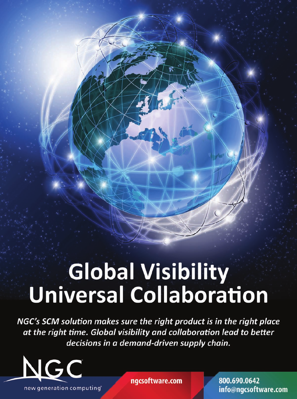# Global Visibility<br>Universal Collaboration

NGC's SCM solution makes sure the right product is in the right place at the right time. Global visibility and collaboration lead to better decisions in a demand-driven supply chain.



ngcsoftware.com

800.690.0642 info@ngcsoftware.com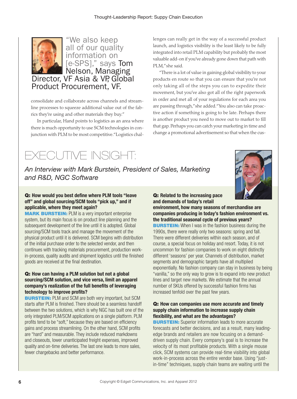

"We also keep all of our quality information on [e-SPS]," says Tom Nelson, Managing Director, VF Asia & VP, Global Product Procurement, VF.

consolidate and collaborate across channels and streamline processes to squeeze additional value out of the fabrics they're using and other materials they buy."

In particular, Hand points to logistics as an area where there is much opportunity to use SCM technologies in conjunction with PLM to be most competitive."Logistics challenges can really get in the way of a successful product launch, and logistics visibility is the least likely to be fully integrated into retail PLM capability but probably the most valuable add-on if you've already gone down that path with PLM,"she said.

"There is a lot of value in gaining global visibility to your products en route so that you can ensure that you're not only taking all of the steps you can to expedite their movement, but you've also got all of the right paperwork in order and met all of your regulations for each area you are passing through,"she added."You also can take proactive action if something is going to be late. Perhaps there is another product you need to move out to market to fill that gap. Perhaps you can catch your marketing in time and change a promotional advertisement so that when the cus-

#### EXECUTIVE INSIGHT:

*An Interview with Mark Burstein, President of Sales, Marketing and R&D, NGC Software*



#### **Q: How would you best define where PLM tools "leave off" and global sourcing/SCM tools "pick up," and if applicable, where they meet again?**

**MARK BURSTEIN:** PLM is a very important enterprise system, but its main focus is on product line planning and the subsequent development of the line until it is adopted. Global sourcing/SCM tools track and manage the movement of the physical product until it is delivered. SCM begins with distribution of the initial purchase order to the selected vendor, and then continues with tracking materials procurement, production workin-process, quality audits and shipment logistics until the finished goods are received at the final destination.

#### **Q: How can having a PLM solution but not a global sourcing/SCM solution, and vice versa, limit an apparel company's realization of the full benefits of leveraging technology to improve profits?**

**BURSTEIN:** PLM and SCM are both very important, but SCM starts after PLM is finished. There should be a seamless handoff between the two solutions, which is why NGC has built one of the only integrated PLM/SCM applications on a single platform. PLM profits tend to be "soft," because they are based on efficiency gains and process streamlining. On the other hand, SCM profits are "hard" and measurable. They include reduced markdowns and closeouts, lower unanticipated freight expenses, improved quality and on-time deliveries. The last one leads to more sales, fewer chargebacks and better performance.

**Q: Related to the increasing pace and demands of today's retail**

**environment, how many seasons of merchandise are companies producing in today's fashion environment vs. the traditional seasonal cycle of previous years? BURSTEIN:** When I was in the fashion business during the 1990s, there were really only two seasons: spring and fall. There were different deliveries within each season, and of course, a special focus on holiday and resort. Today, it is not uncommon for fashion companies to work on eight distinctly different 'seasons' per year. Channels of distribution, market segments and demographic targets have all multiplied exponentially. No fashion company can stay in business by being "vanilla," so the only way to grow is to expand into new product lines and target new markets. We estimate that the annual number of SKUs offered by successful fashion firms has increased tenfold over the past few years.

#### **Q: How can companies use more accurate and timely supply chain information to increase supply chain flexibility, and what are the advantages?**

**BURSTEIN:** Superior information leads to more accurate forecasts and better decisions, and as a result, many leadingedge brands and retailers are now focusing on a demanddriven supply chain. Every company's goal is to increase the velocity of its most profitable products. With a single mouse click, SCM systems can provide real-time visibility into global work-in-process across the entire vendor base. Using "justin-time" techniques, supply chain teams are waiting until the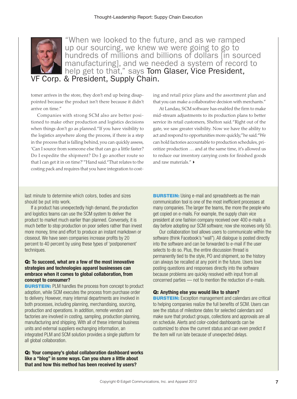

"When we looked to the future, and as we ramped up our sourcing, we knew we were going to go to hundreds of millions and billions of dollars [in sourced manufacturing], and we needed a system of record to help get to that," says Tom Glaser, Vice President, VF Corp. & President, Supply Chain.

tomer arrives in the store, they don't end up being disappointed because the product isn't there because it didn't arrive on time."

Companies with strong SCM also are better positioned to make other production and logistics decisions when things don't go as planned."If you have visibility to the logistics anywhere along the process, if there is a step in the process that is falling behind, you can quickly assess, 'Can I source from someone else that can go a little faster? Do I expedite the shipment? Do I go another route so that I can get it in on time?'"Hand said."That relates to the costing pack and requires that you have integration to costing and retail price plans and the assortment plan and that you can make a collaborative decision with merchants."

At Landau, SCM software has enabled the firm to make mid-stream adjustments to its production plans to better service its retail customers, Shelton said."Right out of the gate, we saw greater visibility. Now we have the ability to act and respond to opportunities more quickly,"he said."We can hold factories accountable to production schedules, prioritize production … and at the same time, it's allowed us to reduce our inventory carrying costs for finished goods and raw materials."

last minute to determine which colors, bodies and sizes should be put into work.

If a product has unexpectedly high demand, the production and logistics teams can use the SCM system to deliver the product to market much earlier than planned. Conversely, it is much better to stop production on poor sellers rather than invest more money, time and effort to produce an instant markdown or closeout. We have seen companies increase profits by 20 percent to 40 percent by using these types of 'postponement' techniques.

#### **Q: To succeed, what are a few of the most innovative strategies and technologies apparel businesses can embrace when it comes to global collaboration, from concept to consumer?**

**BURSTEIN:** PLM handles the process from concept to product adoption, while SCM executes the process from purchase order to delivery. However, many internal departments are involved in both processes, including planning, merchandising, sourcing, production and operations. In addition, remote vendors and factories are involved in costing, sampling, production planning, manufacturing and shipping. With all of these internal business units and external suppliers exchanging information, an integrated PLM and SCM solution provides a single platform for all global collaboration.

**Q: Your company's global collaboration dashboard works like a "blog" in some ways. Can you share a little about that and how this method has been received by users?**

**BURSTEIN:** Using e-mail and spreadsheets as the main communication tool is one of the most inefficient processes at many companies. The larger the teams, the more the people who get copied on e-mails. For example, the supply chain vice president at one fashion company received over 400 e-mails a day before adopting our SCM software; now she receives only 50.

Our collaboration tool allows users to communicate within the software (think Facebook's "wall"). All dialogue is posted directly into the software and can be forwarded to e-mail if the user selects to do so. Plus, the entire discussion thread is permanently tied to the style, PO and shipment, so the history can always be recalled at any point in the future. Users love posting questions and responses directly into the software because problems are quickly resolved with input from all concerned parties — not to mention the reduction of e-mails.

#### **Q: Anything else you would like to share?**

**BURSTEIN:** Exception management and calendars are critical to helping companies realize the full benefits of SCM. Users can see the status of milestone dates for selected calendars and make sure that product groups, collections and approvals are all on schedule. Alerts and color-coded dashboards can be customized to show the current status and can even predict if the item will run late because of unexpected delays.